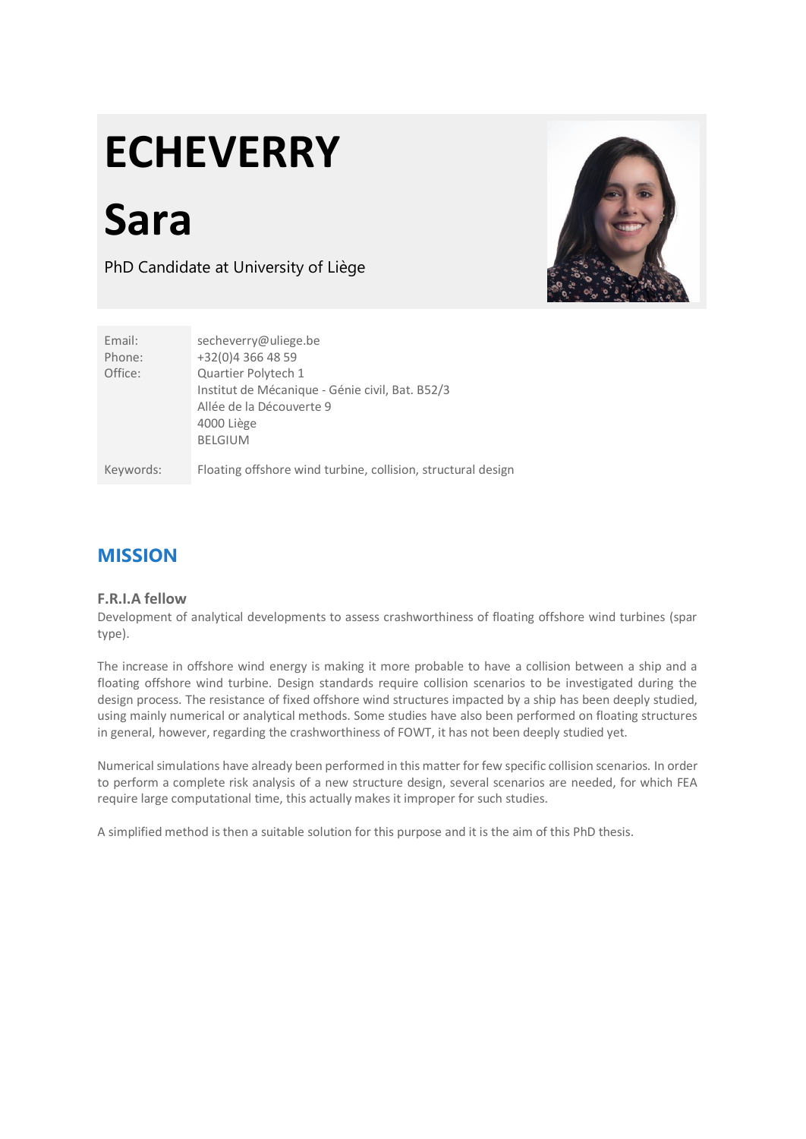# **ECHEVERRY**

**Sara**

PhD Candidate at University of Liège



| Email:<br>Phone: | secheverry@uliege.be<br>+32(0)4 366 48 59                                                                                          |
|------------------|------------------------------------------------------------------------------------------------------------------------------------|
| Office:          | Quartier Polytech 1<br>Institut de Mécanique - Génie civil, Bat. B52/3<br>Allée de la Découverte 9<br>4000 Liège<br><b>BELGIUM</b> |
| Keywords:        | Floating offshore wind turbine, collision, structural design                                                                       |

## **MISSION**

#### **F.R.I.A fellow**

Development of analytical developments to assess crashworthiness of floating offshore wind turbines (spar type).

The increase in offshore wind energy is making it more probable to have a collision between a ship and a floating offshore wind turbine. Design standards require collision scenarios to be investigated during the design process. The resistance of fixed offshore wind structures impacted by a ship has been deeply studied, using mainly numerical or analytical methods. Some studies have also been performed on floating structures in general, however, regarding the crashworthiness of FOWT, it has not been deeply studied yet.

Numerical simulations have already been performed in this matter for few specific collision scenarios. In order to perform a complete risk analysis of a new structure design, several scenarios are needed, for which FEA require large computational time, this actually makes it improper for such studies.

A simplified method is then a suitable solution for this purpose and it is the aim of this PhD thesis.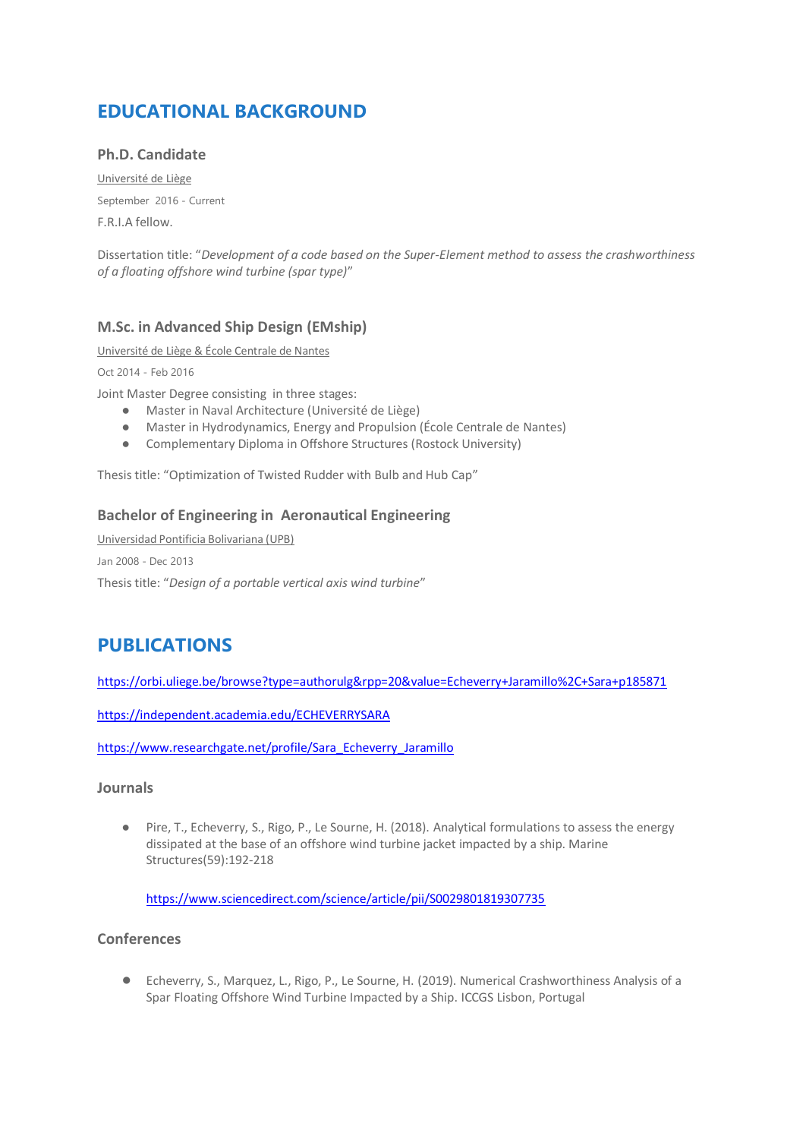# **EDUCATIONAL BACKGROUND**

#### **Ph.D. Candidate**

Université de Liège September 2016 - Current F.R.I.A fellow.

Dissertation title: "*Development of a code based on the Super-Element method to assess the crashworthiness of a floating offshore wind turbine (spar type)*"

#### **M.Sc. in Advanced Ship Design (EMship)**

Université de Liège & École Centrale de Nantes

Oct 2014 - Feb 2016

Joint Master Degree consisting in three stages:

- Master in Naval Architecture (Université de Liège)
- Master in Hydrodynamics, Energy and Propulsion (École Centrale de Nantes)
- Complementary Diploma in Offshore Structures (Rostock University)

Thesis title: "Optimization of Twisted Rudder with Bulb and Hub Cap"

#### **Bachelor of Engineering in Aeronautical Engineering**

Universidad Pontificia Bolivariana (UPB) Jan 2008 - Dec 2013 Thesis title: "*Design of a portable vertical axis wind turbine*"

# **PUBLICATIONS**

<https://orbi.uliege.be/browse?type=authorulg&rpp=20&value=Echeverry+Jaramillo%2C+Sara+p185871>

<https://independent.academia.edu/ECHEVERRYSARA>

[https://www.researchgate.net/profile/Sara\\_Echeverry\\_Jaramillo](https://www.researchgate.net/profile/Sara_Echeverry_Jaramillo)

#### **Journals**

● Pire, T., Echeverry, S., Rigo, P., Le Sourne, H. (2018). Analytical formulations to assess the energy dissipated at the base of an offshore wind turbine jacket impacted by a ship. Marine Structures(59):192-218

<https://www.sciencedirect.com/science/article/pii/S0029801819307735>

#### **Conferences**

● Echeverry, S., Marquez, L., Rigo, P., Le Sourne, H. (2019). Numerical Crashworthiness Analysis of a Spar Floating Offshore Wind Turbine Impacted by a Ship. ICCGS Lisbon, Portugal